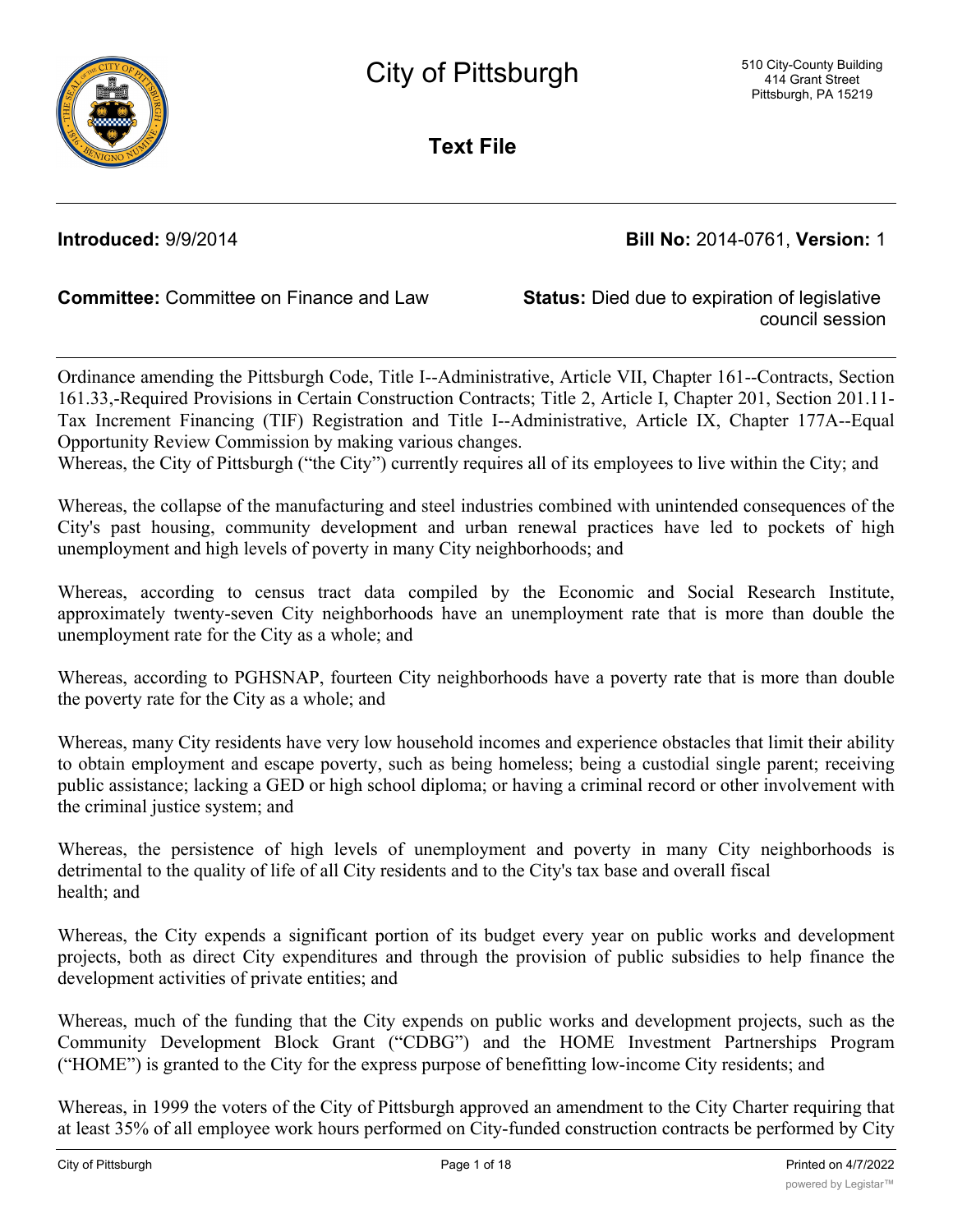

**Text File**

**Introduced:** 9/9/2014 **Bill No:** 2014-0761, **Version:** 1

**Committee:** Committee on Finance and Law **Status:** Died due to expiration of legislative

council session

Ordinance amending the Pittsburgh Code, Title I--Administrative, Article VII, Chapter 161--Contracts, Section 161.33,-Required Provisions in Certain Construction Contracts; Title 2, Article I, Chapter 201, Section 201.11- Tax Increment Financing (TIF) Registration and Title I--Administrative, Article IX, Chapter 177A--Equal Opportunity Review Commission by making various changes.

Whereas, the City of Pittsburgh ("the City") currently requires all of its employees to live within the City; and

Whereas, the collapse of the manufacturing and steel industries combined with unintended consequences of the City's past housing, community development and urban renewal practices have led to pockets of high unemployment and high levels of poverty in many City neighborhoods; and

Whereas, according to census tract data compiled by the Economic and Social Research Institute, approximately twenty-seven City neighborhoods have an unemployment rate that is more than double the unemployment rate for the City as a whole; and

Whereas, according to PGHSNAP, fourteen City neighborhoods have a poverty rate that is more than double the poverty rate for the City as a whole; and

Whereas, many City residents have very low household incomes and experience obstacles that limit their ability to obtain employment and escape poverty, such as being homeless; being a custodial single parent; receiving public assistance; lacking a GED or high school diploma; or having a criminal record or other involvement with the criminal justice system; and

Whereas, the persistence of high levels of unemployment and poverty in many City neighborhoods is detrimental to the quality of life of all City residents and to the City's tax base and overall fiscal health; and

Whereas, the City expends a significant portion of its budget every year on public works and development projects, both as direct City expenditures and through the provision of public subsidies to help finance the development activities of private entities; and

Whereas, much of the funding that the City expends on public works and development projects, such as the Community Development Block Grant ("CDBG") and the HOME Investment Partnerships Program ("HOME") is granted to the City for the express purpose of benefitting low-income City residents; and

Whereas, in 1999 the voters of the City of Pittsburgh approved an amendment to the City Charter requiring that at least 35% of all employee work hours performed on City-funded construction contracts be performed by City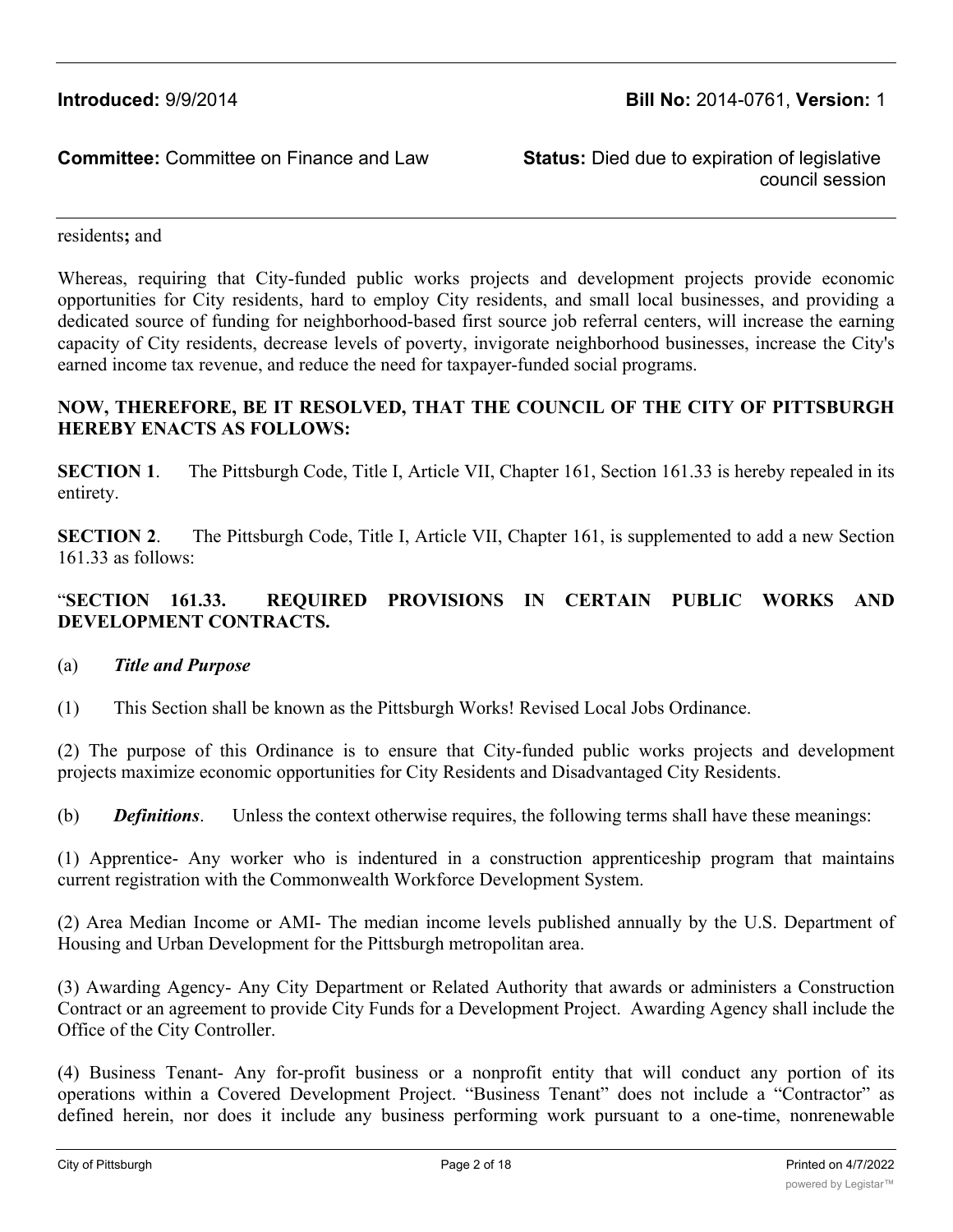council session

residents**;** and

Whereas, requiring that City-funded public works projects and development projects provide economic opportunities for City residents, hard to employ City residents, and small local businesses, and providing a dedicated source of funding for neighborhood-based first source job referral centers, will increase the earning capacity of City residents, decrease levels of poverty, invigorate neighborhood businesses, increase the City's earned income tax revenue, and reduce the need for taxpayer-funded social programs.

# **NOW, THEREFORE, BE IT RESOLVED, THAT THE COUNCIL OF THE CITY OF PITTSBURGH HEREBY ENACTS AS FOLLOWS:**

**SECTION 1.** The Pittsburgh Code, Title I, Article VII, Chapter 161, Section 161.33 is hereby repealed in its entirety.

**SECTION 2.** The Pittsburgh Code, Title I, Article VII, Chapter 161, is supplemented to add a new Section 161.33 as follows:

# "**SECTION 161.33. REQUIRED PROVISIONS IN CERTAIN PUBLIC WORKS AND DEVELOPMENT CONTRACTS.**

### (a) *Title and Purpose*

(1) This Section shall be known as the Pittsburgh Works! Revised Local Jobs Ordinance.

(2) The purpose of this Ordinance is to ensure that City-funded public works projects and development projects maximize economic opportunities for City Residents and Disadvantaged City Residents.

(b) *Definitions*. Unless the context otherwise requires, the following terms shall have these meanings:

(1) Apprentice- Any worker who is indentured in a construction apprenticeship program that maintains current registration with the Commonwealth Workforce Development System.

(2) Area Median Income or AMI- The median income levels published annually by the U.S. Department of Housing and Urban Development for the Pittsburgh metropolitan area.

(3) Awarding Agency- Any City Department or Related Authority that awards or administers a Construction Contract or an agreement to provide City Funds for a Development Project. Awarding Agency shall include the Office of the City Controller.

(4) Business Tenant- Any for-profit business or a nonprofit entity that will conduct any portion of its operations within a Covered Development Project. "Business Tenant" does not include a "Contractor" as defined herein, nor does it include any business performing work pursuant to a one-time, nonrenewable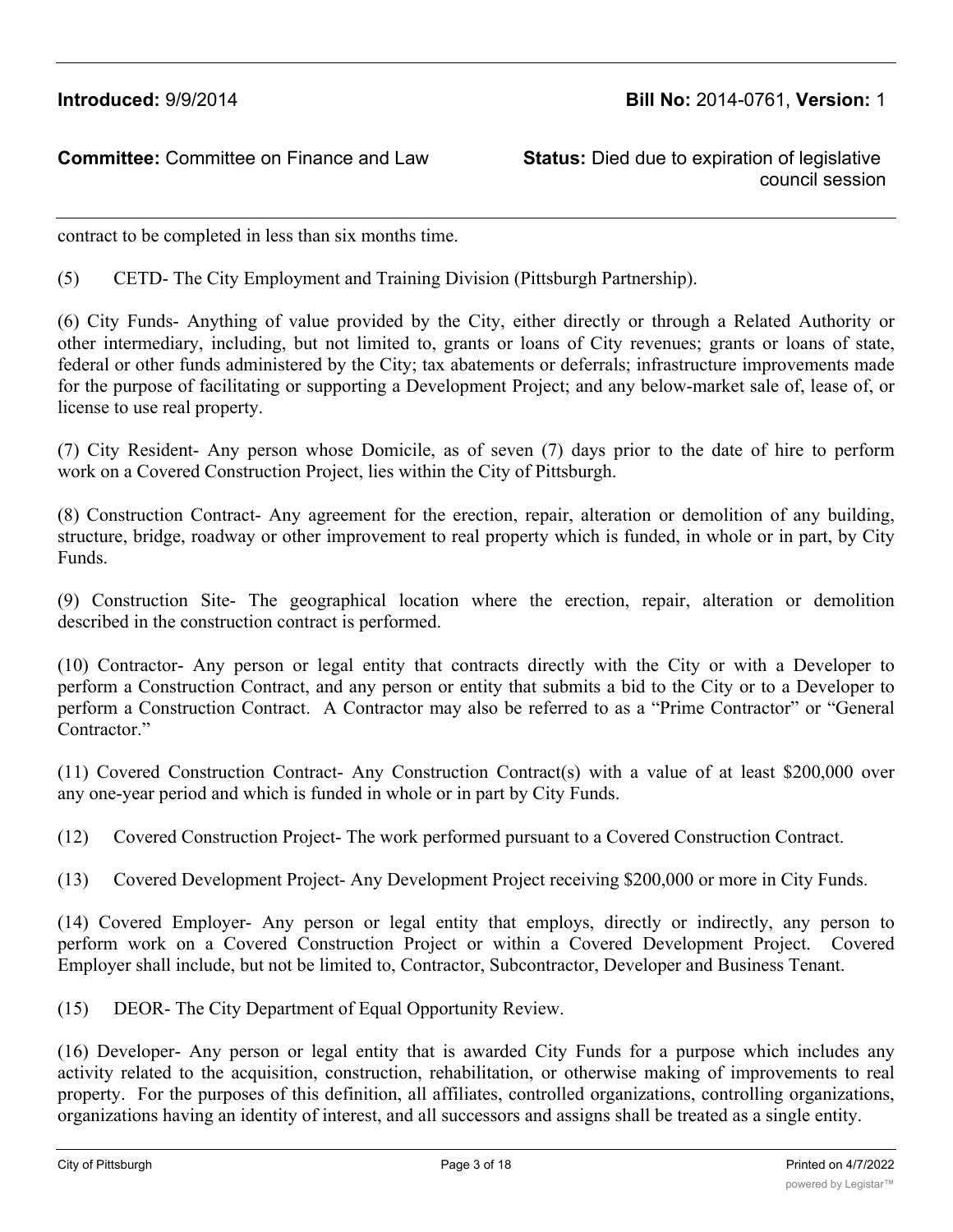council session

contract to be completed in less than six months time.

(5) CETD- The City Employment and Training Division (Pittsburgh Partnership).

(6) City Funds- Anything of value provided by the City, either directly or through a Related Authority or other intermediary, including, but not limited to, grants or loans of City revenues; grants or loans of state, federal or other funds administered by the City; tax abatements or deferrals; infrastructure improvements made for the purpose of facilitating or supporting a Development Project; and any below-market sale of, lease of, or license to use real property.

(7) City Resident- Any person whose Domicile, as of seven (7) days prior to the date of hire to perform work on a Covered Construction Project, lies within the City of Pittsburgh.

(8) Construction Contract- Any agreement for the erection, repair, alteration or demolition of any building, structure, bridge, roadway or other improvement to real property which is funded, in whole or in part, by City Funds.

(9) Construction Site- The geographical location where the erection, repair, alteration or demolition described in the construction contract is performed.

(10) Contractor- Any person or legal entity that contracts directly with the City or with a Developer to perform a Construction Contract, and any person or entity that submits a bid to the City or to a Developer to perform a Construction Contract. A Contractor may also be referred to as a "Prime Contractor" or "General Contractor."

(11) Covered Construction Contract- Any Construction Contract(s) with a value of at least \$200,000 over any one-year period and which is funded in whole or in part by City Funds.

(12) Covered Construction Project- The work performed pursuant to a Covered Construction Contract.

(13) Covered Development Project- Any Development Project receiving \$200,000 or more in City Funds.

(14) Covered Employer- Any person or legal entity that employs, directly or indirectly, any person to perform work on a Covered Construction Project or within a Covered Development Project. Covered Employer shall include, but not be limited to, Contractor, Subcontractor, Developer and Business Tenant.

(15) DEOR- The City Department of Equal Opportunity Review.

(16) Developer- Any person or legal entity that is awarded City Funds for a purpose which includes any activity related to the acquisition, construction, rehabilitation, or otherwise making of improvements to real property. For the purposes of this definition, all affiliates, controlled organizations, controlling organizations, organizations having an identity of interest, and all successors and assigns shall be treated as a single entity.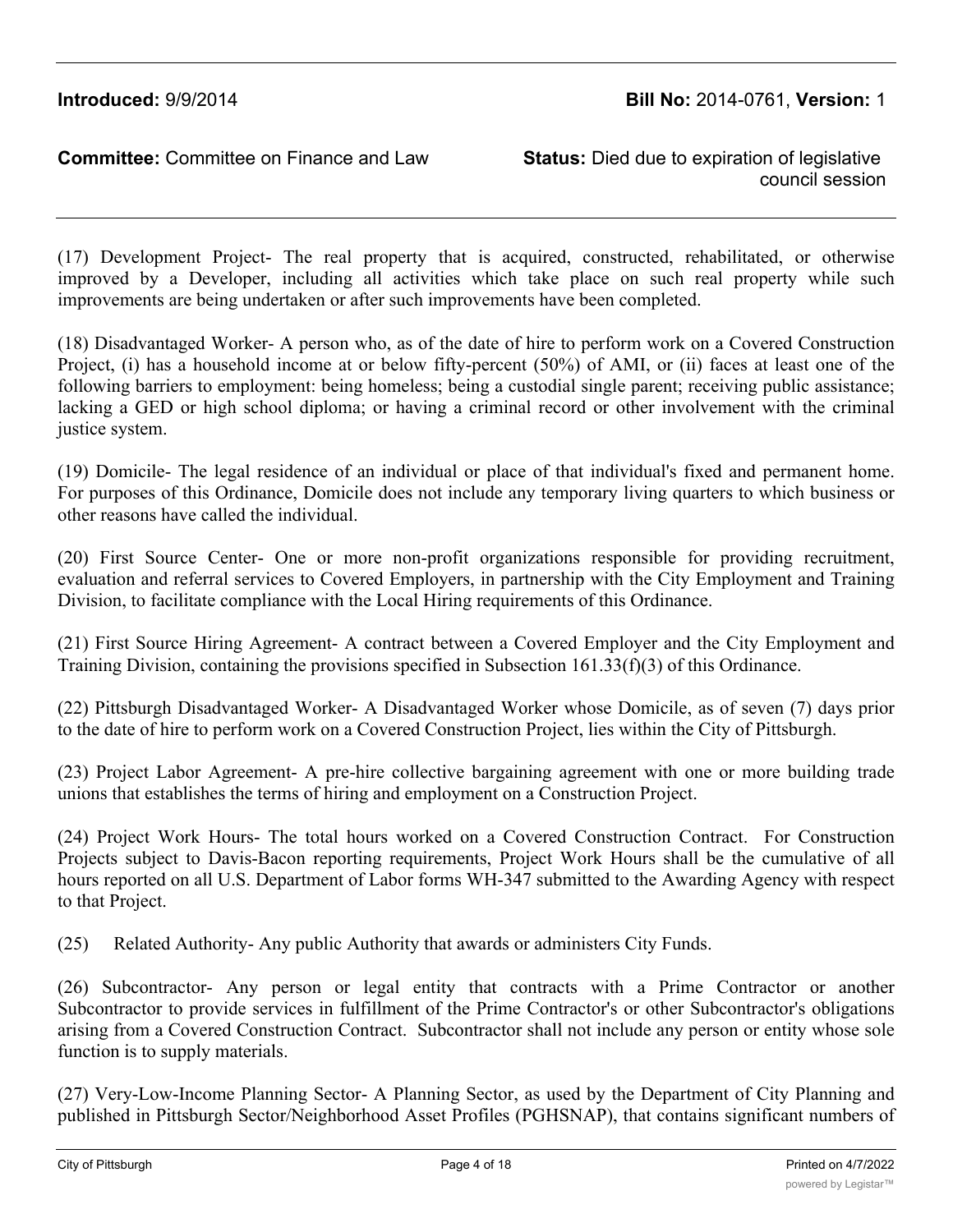council session

(17) Development Project- The real property that is acquired, constructed, rehabilitated, or otherwise improved by a Developer, including all activities which take place on such real property while such improvements are being undertaken or after such improvements have been completed.

(18) Disadvantaged Worker- A person who, as of the date of hire to perform work on a Covered Construction Project, (i) has a household income at or below fifty-percent (50%) of AMI, or (ii) faces at least one of the following barriers to employment: being homeless; being a custodial single parent; receiving public assistance; lacking a GED or high school diploma; or having a criminal record or other involvement with the criminal justice system.

(19) Domicile- The legal residence of an individual or place of that individual's fixed and permanent home. For purposes of this Ordinance, Domicile does not include any temporary living quarters to which business or other reasons have called the individual.

(20) First Source Center- One or more non-profit organizations responsible for providing recruitment, evaluation and referral services to Covered Employers, in partnership with the City Employment and Training Division, to facilitate compliance with the Local Hiring requirements of this Ordinance.

(21) First Source Hiring Agreement- A contract between a Covered Employer and the City Employment and Training Division, containing the provisions specified in Subsection 161.33(f)(3) of this Ordinance.

(22) Pittsburgh Disadvantaged Worker- A Disadvantaged Worker whose Domicile, as of seven (7) days prior to the date of hire to perform work on a Covered Construction Project, lies within the City of Pittsburgh.

(23) Project Labor Agreement- A pre-hire collective bargaining agreement with one or more building trade unions that establishes the terms of hiring and employment on a Construction Project.

(24) Project Work Hours- The total hours worked on a Covered Construction Contract. For Construction Projects subject to Davis-Bacon reporting requirements, Project Work Hours shall be the cumulative of all hours reported on all U.S. Department of Labor forms WH-347 submitted to the Awarding Agency with respect to that Project.

(25) Related Authority- Any public Authority that awards or administers City Funds.

(26) Subcontractor- Any person or legal entity that contracts with a Prime Contractor or another Subcontractor to provide services in fulfillment of the Prime Contractor's or other Subcontractor's obligations arising from a Covered Construction Contract. Subcontractor shall not include any person or entity whose sole function is to supply materials.

(27) Very-Low-Income Planning Sector- A Planning Sector, as used by the Department of City Planning and published in Pittsburgh Sector/Neighborhood Asset Profiles (PGHSNAP), that contains significant numbers of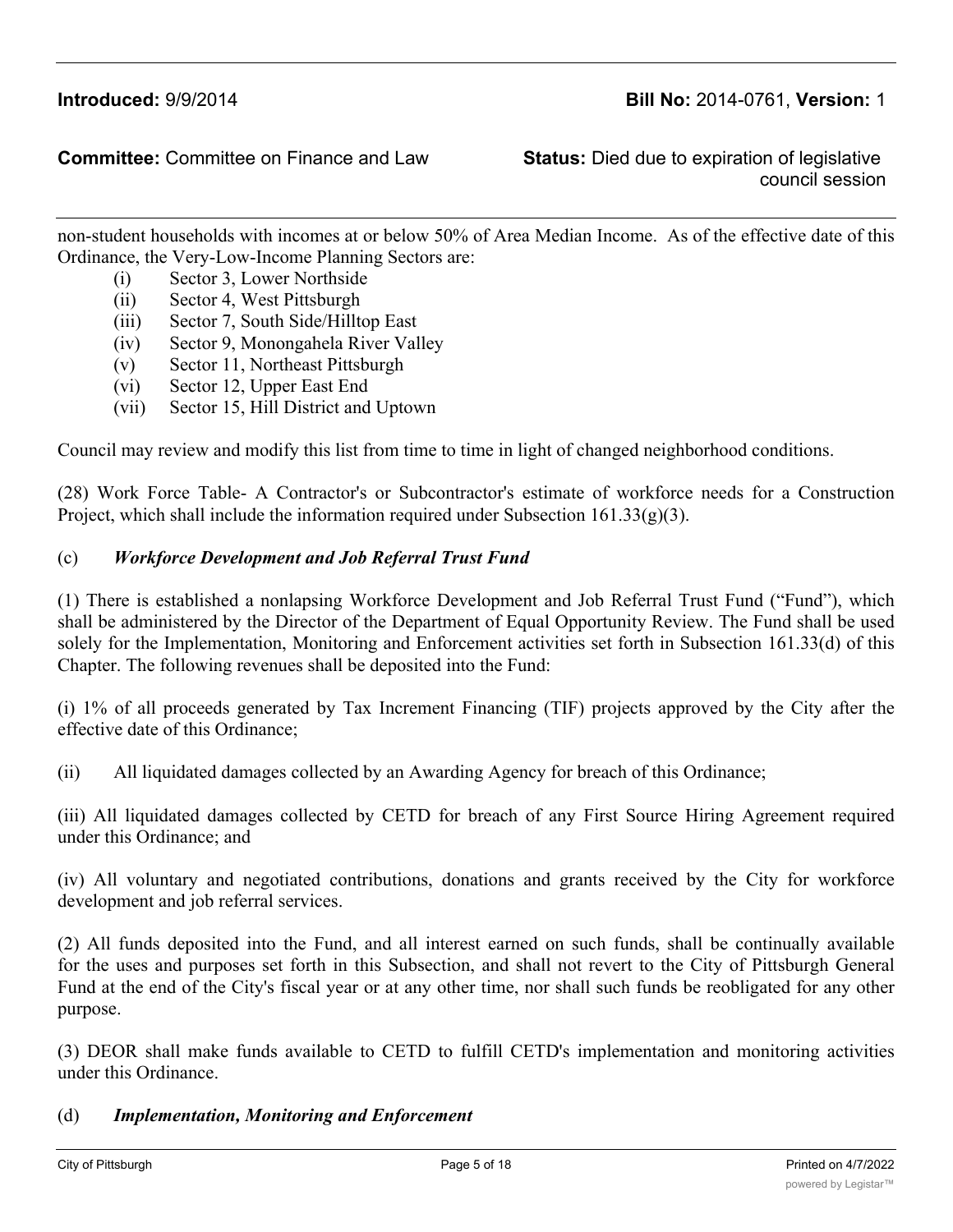council session

non-student households with incomes at or below 50% of Area Median Income. As of the effective date of this Ordinance, the Very-Low-Income Planning Sectors are:

- (i) Sector 3, Lower Northside
- (ii) Sector 4, West Pittsburgh
- (iii) Sector 7, South Side/Hilltop East
- (iv) Sector 9, Monongahela River Valley
- (v) Sector 11, Northeast Pittsburgh
- (vi) Sector 12, Upper East End
- (vii) Sector 15, Hill District and Uptown

Council may review and modify this list from time to time in light of changed neighborhood conditions.

(28) Work Force Table- A Contractor's or Subcontractor's estimate of workforce needs for a Construction Project, which shall include the information required under Subsection  $161.33(g)(3)$ .

# (c) *Workforce Development and Job Referral Trust Fund*

(1) There is established a nonlapsing Workforce Development and Job Referral Trust Fund ("Fund"), which shall be administered by the Director of the Department of Equal Opportunity Review. The Fund shall be used solely for the Implementation, Monitoring and Enforcement activities set forth in Subsection 161.33(d) of this Chapter. The following revenues shall be deposited into the Fund:

(i) 1% of all proceeds generated by Tax Increment Financing (TIF) projects approved by the City after the effective date of this Ordinance;

(ii) All liquidated damages collected by an Awarding Agency for breach of this Ordinance;

(iii) All liquidated damages collected by CETD for breach of any First Source Hiring Agreement required under this Ordinance; and

(iv) All voluntary and negotiated contributions, donations and grants received by the City for workforce development and job referral services.

(2) All funds deposited into the Fund, and all interest earned on such funds, shall be continually available for the uses and purposes set forth in this Subsection, and shall not revert to the City of Pittsburgh General Fund at the end of the City's fiscal year or at any other time, nor shall such funds be reobligated for any other purpose.

(3) DEOR shall make funds available to CETD to fulfill CETD's implementation and monitoring activities under this Ordinance.

### (d) *Implementation, Monitoring and Enforcement*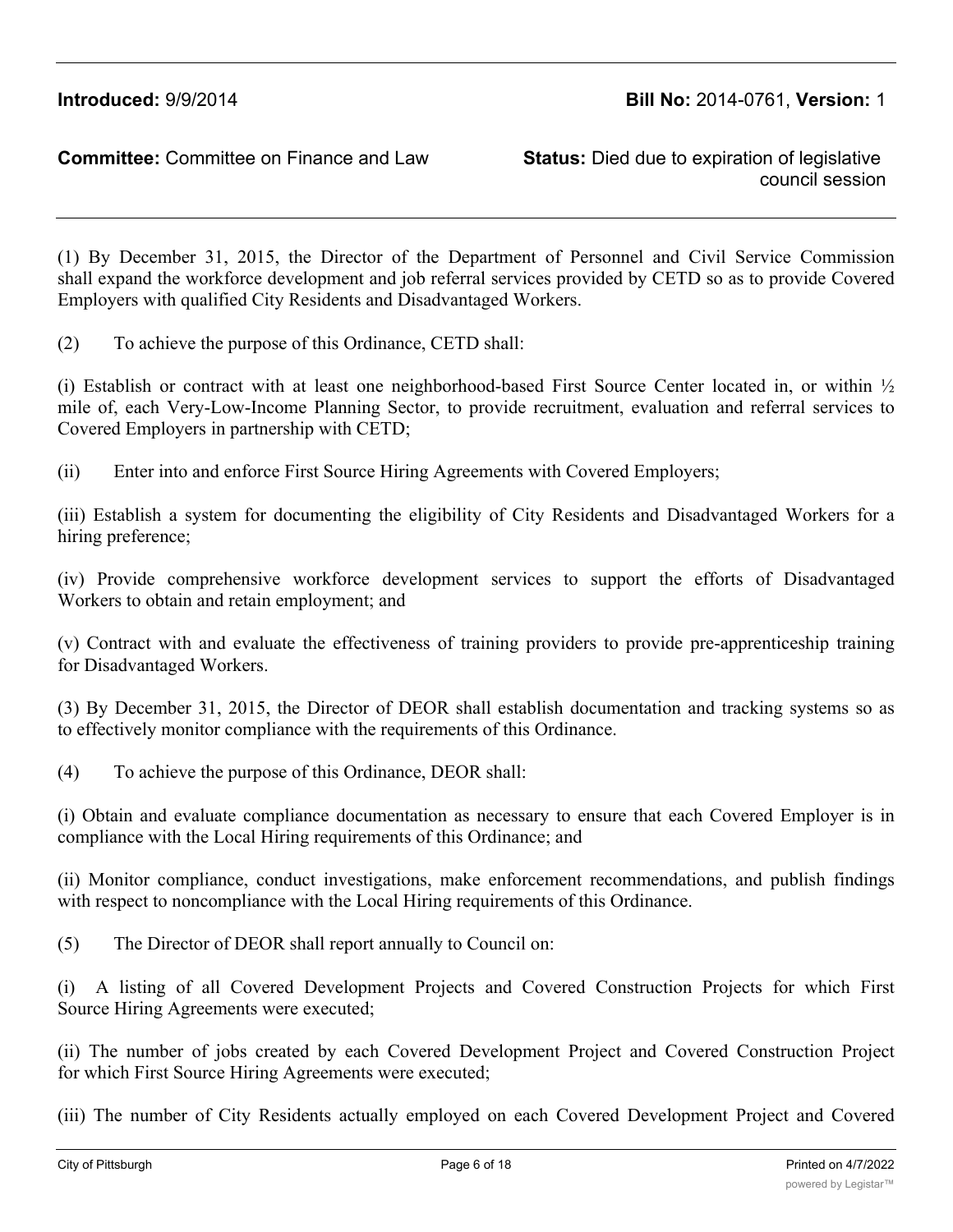council session

(1) By December 31, 2015, the Director of the Department of Personnel and Civil Service Commission shall expand the workforce development and job referral services provided by CETD so as to provide Covered Employers with qualified City Residents and Disadvantaged Workers.

(2) To achieve the purpose of this Ordinance, CETD shall:

(i) Establish or contract with at least one neighborhood-based First Source Center located in, or within  $\frac{1}{2}$ mile of, each Very-Low-Income Planning Sector, to provide recruitment, evaluation and referral services to Covered Employers in partnership with CETD;

(ii) Enter into and enforce First Source Hiring Agreements with Covered Employers;

(iii) Establish a system for documenting the eligibility of City Residents and Disadvantaged Workers for a hiring preference;

(iv) Provide comprehensive workforce development services to support the efforts of Disadvantaged Workers to obtain and retain employment; and

(v) Contract with and evaluate the effectiveness of training providers to provide pre-apprenticeship training for Disadvantaged Workers.

(3) By December 31, 2015, the Director of DEOR shall establish documentation and tracking systems so as to effectively monitor compliance with the requirements of this Ordinance.

(4) To achieve the purpose of this Ordinance, DEOR shall:

(i) Obtain and evaluate compliance documentation as necessary to ensure that each Covered Employer is in compliance with the Local Hiring requirements of this Ordinance; and

(ii) Monitor compliance, conduct investigations, make enforcement recommendations, and publish findings with respect to noncompliance with the Local Hiring requirements of this Ordinance.

(5) The Director of DEOR shall report annually to Council on:

(i) A listing of all Covered Development Projects and Covered Construction Projects for which First Source Hiring Agreements were executed;

(ii) The number of jobs created by each Covered Development Project and Covered Construction Project for which First Source Hiring Agreements were executed;

(iii) The number of City Residents actually employed on each Covered Development Project and Covered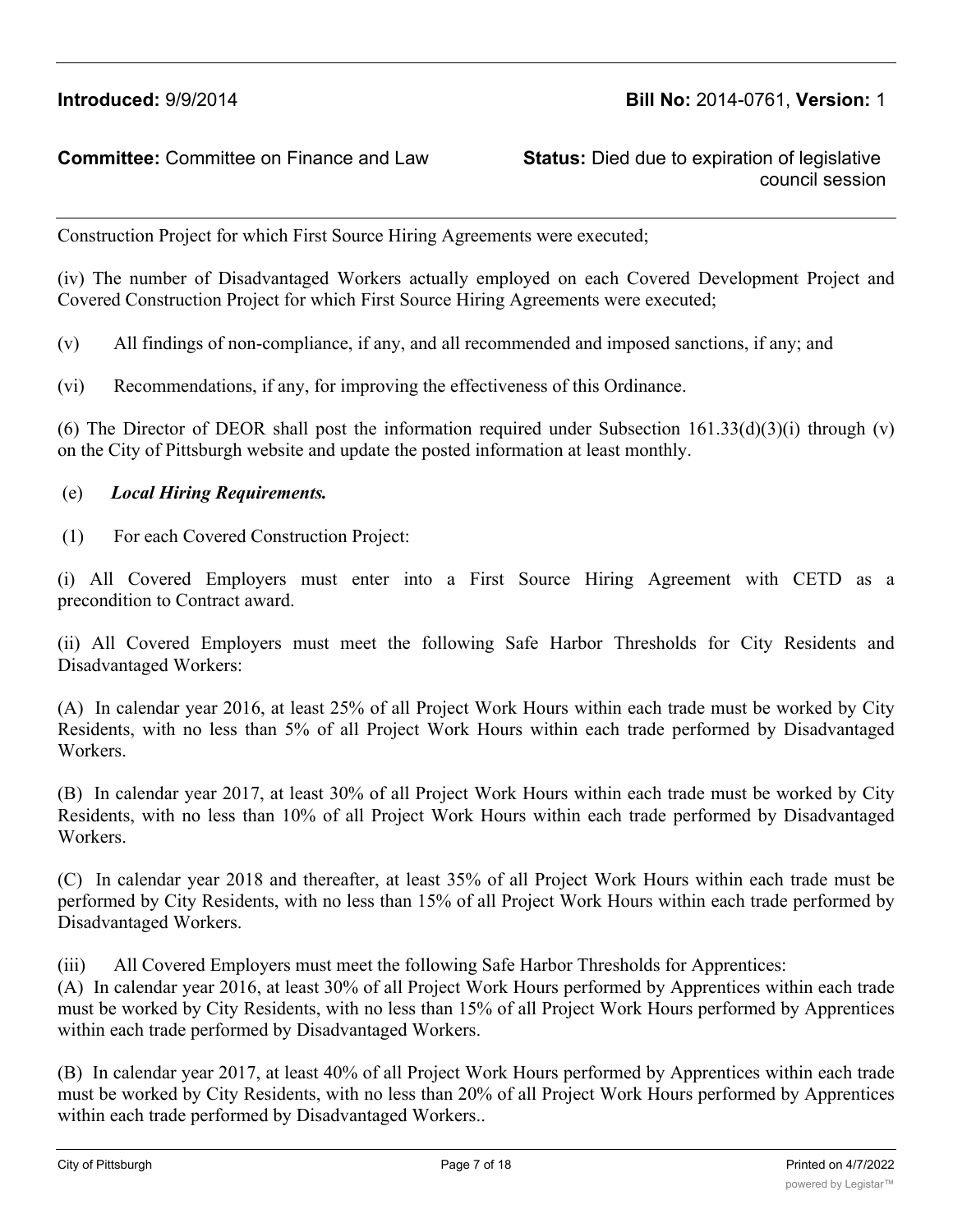council session

Construction Project for which First Source Hiring Agreements were executed;

(iv) The number of Disadvantaged Workers actually employed on each Covered Development Project and Covered Construction Project for which First Source Hiring Agreements were executed;

(v) All findings of non-compliance, if any, and all recommended and imposed sanctions, if any; and

(vi) Recommendations, if any, for improving the effectiveness of this Ordinance.

(6) The Director of DEOR shall post the information required under Subsection  $161.33(d)(3)(i)$  through (v) on the City of Pittsburgh website and update the posted information at least monthly.

#### (e) *Local Hiring Requirements.*

(1) For each Covered Construction Project:

(i) All Covered Employers must enter into a First Source Hiring Agreement with CETD as a precondition to Contract award.

(ii) All Covered Employers must meet the following Safe Harbor Thresholds for City Residents and Disadvantaged Workers:

(A) In calendar year 2016, at least 25% of all Project Work Hours within each trade must be worked by City Residents, with no less than 5% of all Project Work Hours within each trade performed by Disadvantaged Workers.

(B) In calendar year 2017, at least 30% of all Project Work Hours within each trade must be worked by City Residents, with no less than 10% of all Project Work Hours within each trade performed by Disadvantaged Workers.

(C) In calendar year 2018 and thereafter, at least 35% of all Project Work Hours within each trade must be performed by City Residents, with no less than 15% of all Project Work Hours within each trade performed by Disadvantaged Workers.

(iii) All Covered Employers must meet the following Safe Harbor Thresholds for Apprentices:

(A) In calendar year 2016, at least 30% of all Project Work Hours performed by Apprentices within each trade must be worked by City Residents, with no less than 15% of all Project Work Hours performed by Apprentices within each trade performed by Disadvantaged Workers.

(B) In calendar year 2017, at least 40% of all Project Work Hours performed by Apprentices within each trade must be worked by City Residents, with no less than 20% of all Project Work Hours performed by Apprentices within each trade performed by Disadvantaged Workers..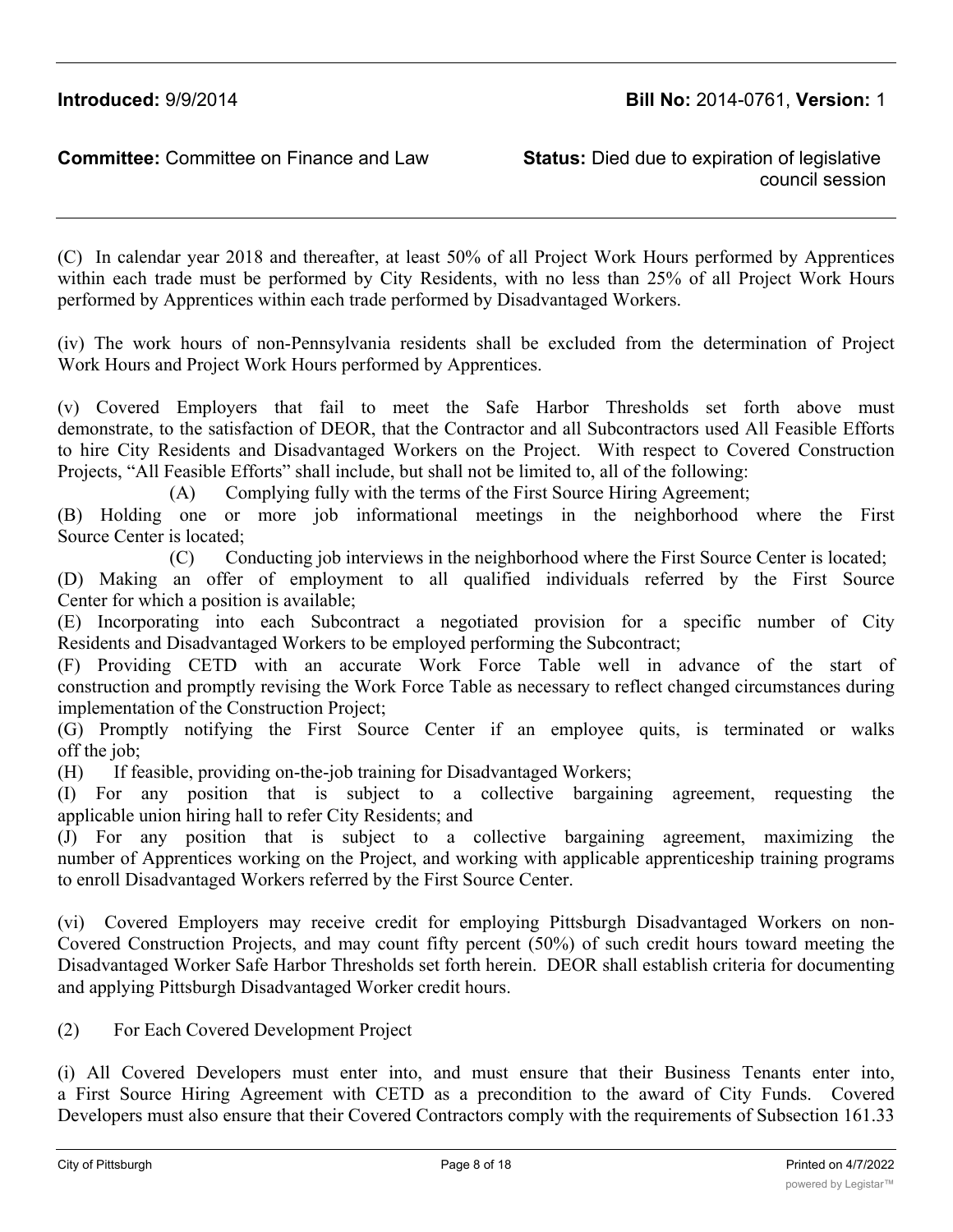council session

(C) In calendar year 2018 and thereafter, at least 50% of all Project Work Hours performed by Apprentices within each trade must be performed by City Residents, with no less than 25% of all Project Work Hours performed by Apprentices within each trade performed by Disadvantaged Workers.

(iv) The work hours of non-Pennsylvania residents shall be excluded from the determination of Project Work Hours and Project Work Hours performed by Apprentices.

(v) Covered Employers that fail to meet the Safe Harbor Thresholds set forth above must demonstrate, to the satisfaction of DEOR, that the Contractor and all Subcontractors used All Feasible Efforts to hire City Residents and Disadvantaged Workers on the Project. With respect to Covered Construction Projects, "All Feasible Efforts" shall include, but shall not be limited to, all of the following:

(A) Complying fully with the terms of the First Source Hiring Agreement;

(B) Holding one or more job informational meetings in the neighborhood where the First Source Center is located;

(C) Conducting job interviews in the neighborhood where the First Source Center is located;

(D) Making an offer of employment to all qualified individuals referred by the First Source Center for which a position is available;

(E) Incorporating into each Subcontract a negotiated provision for a specific number of City Residents and Disadvantaged Workers to be employed performing the Subcontract;

(F) Providing CETD with an accurate Work Force Table well in advance of the start of construction and promptly revising the Work Force Table as necessary to reflect changed circumstances during implementation of the Construction Project;

(G) Promptly notifying the First Source Center if an employee quits, is terminated or walks off the job;

(H) If feasible, providing on-the-job training for Disadvantaged Workers;

(I) For any position that is subject to a collective bargaining agreement, requesting the applicable union hiring hall to refer City Residents; and

(J) For any position that is subject to a collective bargaining agreement, maximizing the number of Apprentices working on the Project, and working with applicable apprenticeship training programs to enroll Disadvantaged Workers referred by the First Source Center.

(vi) Covered Employers may receive credit for employing Pittsburgh Disadvantaged Workers on non-Covered Construction Projects, and may count fifty percent (50%) of such credit hours toward meeting the Disadvantaged Worker Safe Harbor Thresholds set forth herein. DEOR shall establish criteria for documenting and applying Pittsburgh Disadvantaged Worker credit hours.

(2) For Each Covered Development Project

(i) All Covered Developers must enter into, and must ensure that their Business Tenants enter into, a First Source Hiring Agreement with CETD as a precondition to the award of City Funds. Covered Developers must also ensure that their Covered Contractors comply with the requirements of Subsection 161.33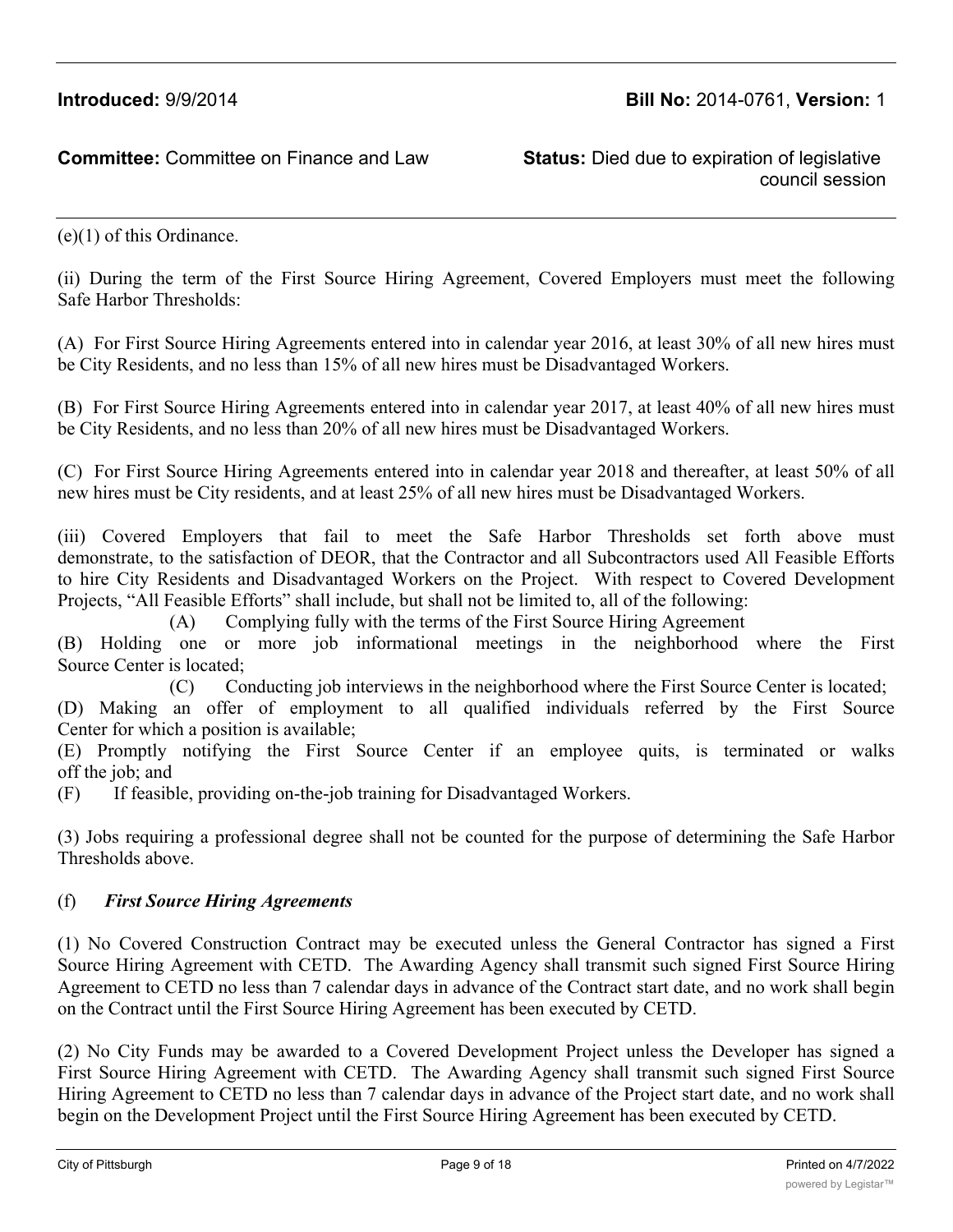council session

(e)(1) of this Ordinance.

(ii) During the term of the First Source Hiring Agreement, Covered Employers must meet the following Safe Harbor Thresholds:

(A) For First Source Hiring Agreements entered into in calendar year 2016, at least 30% of all new hires must be City Residents, and no less than 15% of all new hires must be Disadvantaged Workers.

(B) For First Source Hiring Agreements entered into in calendar year 2017, at least 40% of all new hires must be City Residents, and no less than 20% of all new hires must be Disadvantaged Workers.

(C) For First Source Hiring Agreements entered into in calendar year 2018 and thereafter, at least 50% of all new hires must be City residents, and at least 25% of all new hires must be Disadvantaged Workers.

(iii) Covered Employers that fail to meet the Safe Harbor Thresholds set forth above must demonstrate, to the satisfaction of DEOR, that the Contractor and all Subcontractors used All Feasible Efforts to hire City Residents and Disadvantaged Workers on the Project. With respect to Covered Development Projects, "All Feasible Efforts" shall include, but shall not be limited to, all of the following:

(A) Complying fully with the terms of the First Source Hiring Agreement

(B) Holding one or more job informational meetings in the neighborhood where the First Source Center is located;

(C) Conducting job interviews in the neighborhood where the First Source Center is located;

(D) Making an offer of employment to all qualified individuals referred by the First Source Center for which a position is available;

(E) Promptly notifying the First Source Center if an employee quits, is terminated or walks off the job; and

(F) If feasible, providing on-the-job training for Disadvantaged Workers.

(3) Jobs requiring a professional degree shall not be counted for the purpose of determining the Safe Harbor Thresholds above.

### (f) *First Source Hiring Agreements*

(1) No Covered Construction Contract may be executed unless the General Contractor has signed a First Source Hiring Agreement with CETD. The Awarding Agency shall transmit such signed First Source Hiring Agreement to CETD no less than 7 calendar days in advance of the Contract start date, and no work shall begin on the Contract until the First Source Hiring Agreement has been executed by CETD.

(2) No City Funds may be awarded to a Covered Development Project unless the Developer has signed a First Source Hiring Agreement with CETD. The Awarding Agency shall transmit such signed First Source Hiring Agreement to CETD no less than 7 calendar days in advance of the Project start date, and no work shall begin on the Development Project until the First Source Hiring Agreement has been executed by CETD.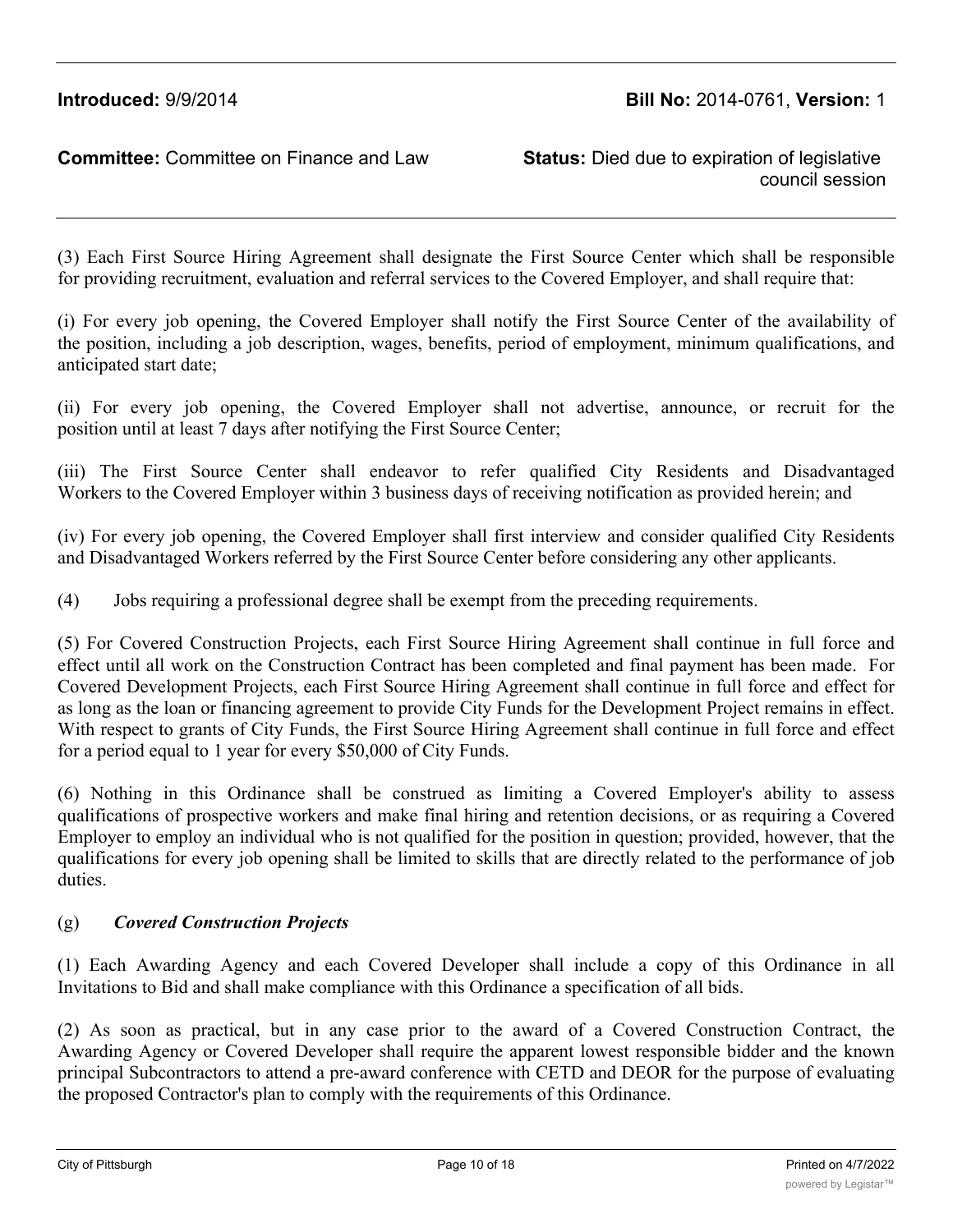(3) Each First Source Hiring Agreement shall designate the First Source Center which shall be responsible for providing recruitment, evaluation and referral services to the Covered Employer, and shall require that:

(i) For every job opening, the Covered Employer shall notify the First Source Center of the availability of the position, including a job description, wages, benefits, period of employment, minimum qualifications, and anticipated start date;

(ii) For every job opening, the Covered Employer shall not advertise, announce, or recruit for the position until at least 7 days after notifying the First Source Center;

(iii) The First Source Center shall endeavor to refer qualified City Residents and Disadvantaged Workers to the Covered Employer within 3 business days of receiving notification as provided herein; and

(iv) For every job opening, the Covered Employer shall first interview and consider qualified City Residents and Disadvantaged Workers referred by the First Source Center before considering any other applicants.

(4) Jobs requiring a professional degree shall be exempt from the preceding requirements.

(5) For Covered Construction Projects, each First Source Hiring Agreement shall continue in full force and effect until all work on the Construction Contract has been completed and final payment has been made. For Covered Development Projects, each First Source Hiring Agreement shall continue in full force and effect for as long as the loan or financing agreement to provide City Funds for the Development Project remains in effect. With respect to grants of City Funds, the First Source Hiring Agreement shall continue in full force and effect for a period equal to 1 year for every \$50,000 of City Funds.

(6) Nothing in this Ordinance shall be construed as limiting a Covered Employer's ability to assess qualifications of prospective workers and make final hiring and retention decisions, or as requiring a Covered Employer to employ an individual who is not qualified for the position in question; provided, however, that the qualifications for every job opening shall be limited to skills that are directly related to the performance of job duties.

# (g) *Covered Construction Projects*

(1) Each Awarding Agency and each Covered Developer shall include a copy of this Ordinance in all Invitations to Bid and shall make compliance with this Ordinance a specification of all bids.

(2) As soon as practical, but in any case prior to the award of a Covered Construction Contract, the Awarding Agency or Covered Developer shall require the apparent lowest responsible bidder and the known principal Subcontractors to attend a pre-award conference with CETD and DEOR for the purpose of evaluating the proposed Contractor's plan to comply with the requirements of this Ordinance.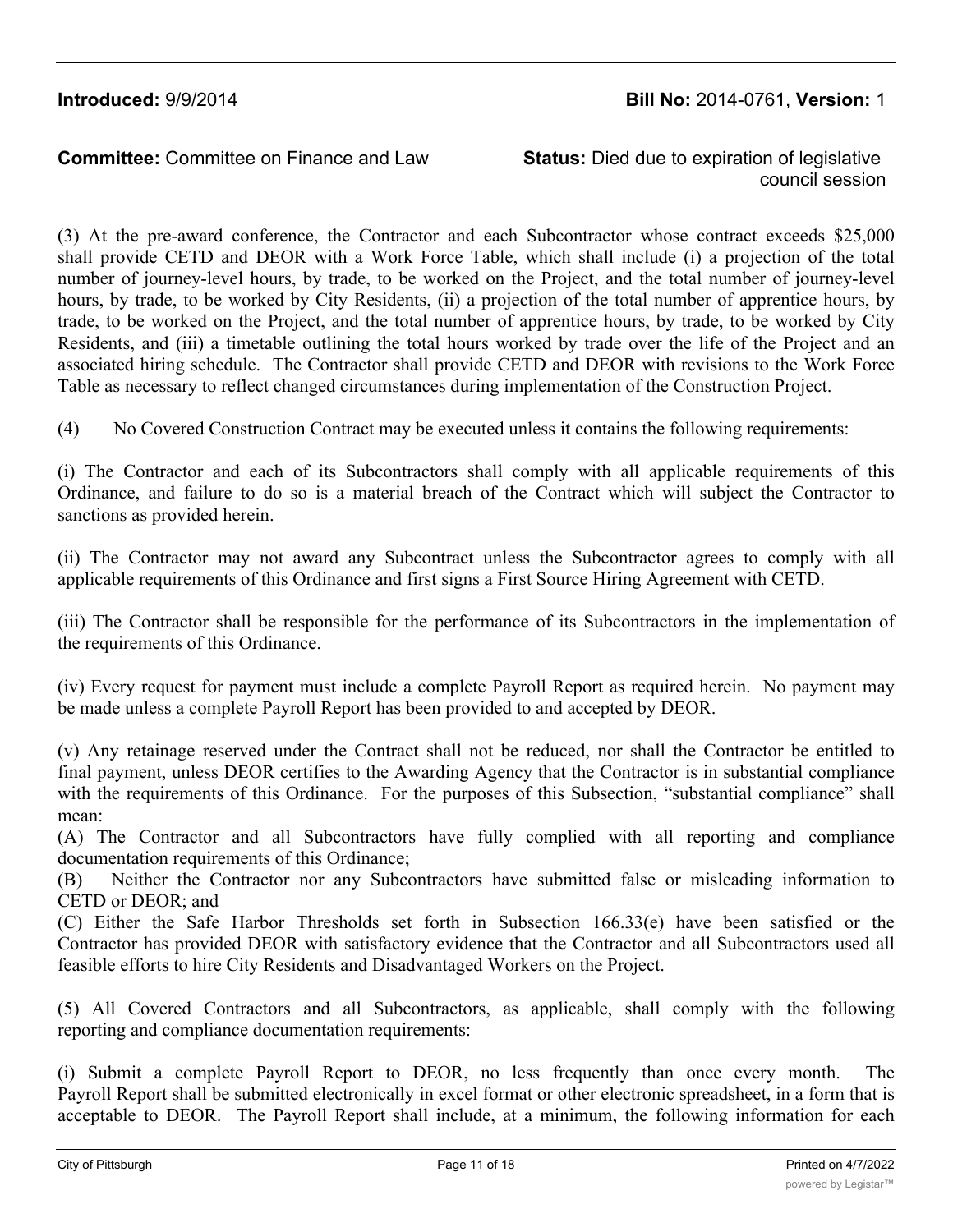council session

(3) At the pre-award conference, the Contractor and each Subcontractor whose contract exceeds \$25,000 shall provide CETD and DEOR with a Work Force Table, which shall include (i) a projection of the total number of journey-level hours, by trade, to be worked on the Project, and the total number of journey-level hours, by trade, to be worked by City Residents, (ii) a projection of the total number of apprentice hours, by trade, to be worked on the Project, and the total number of apprentice hours, by trade, to be worked by City Residents, and (iii) a timetable outlining the total hours worked by trade over the life of the Project and an associated hiring schedule. The Contractor shall provide CETD and DEOR with revisions to the Work Force Table as necessary to reflect changed circumstances during implementation of the Construction Project.

(4) No Covered Construction Contract may be executed unless it contains the following requirements:

(i) The Contractor and each of its Subcontractors shall comply with all applicable requirements of this Ordinance, and failure to do so is a material breach of the Contract which will subject the Contractor to sanctions as provided herein.

(ii) The Contractor may not award any Subcontract unless the Subcontractor agrees to comply with all applicable requirements of this Ordinance and first signs a First Source Hiring Agreement with CETD.

(iii) The Contractor shall be responsible for the performance of its Subcontractors in the implementation of the requirements of this Ordinance.

(iv) Every request for payment must include a complete Payroll Report as required herein. No payment may be made unless a complete Payroll Report has been provided to and accepted by DEOR.

(v) Any retainage reserved under the Contract shall not be reduced, nor shall the Contractor be entitled to final payment, unless DEOR certifies to the Awarding Agency that the Contractor is in substantial compliance with the requirements of this Ordinance. For the purposes of this Subsection, "substantial compliance" shall mean:

(A) The Contractor and all Subcontractors have fully complied with all reporting and compliance documentation requirements of this Ordinance;

(B) Neither the Contractor nor any Subcontractors have submitted false or misleading information to CETD or DEOR; and

(C) Either the Safe Harbor Thresholds set forth in Subsection 166.33(e) have been satisfied or the Contractor has provided DEOR with satisfactory evidence that the Contractor and all Subcontractors used all feasible efforts to hire City Residents and Disadvantaged Workers on the Project.

(5) All Covered Contractors and all Subcontractors, as applicable, shall comply with the following reporting and compliance documentation requirements:

(i) Submit a complete Payroll Report to DEOR, no less frequently than once every month. The Payroll Report shall be submitted electronically in excel format or other electronic spreadsheet, in a form that is acceptable to DEOR. The Payroll Report shall include, at a minimum, the following information for each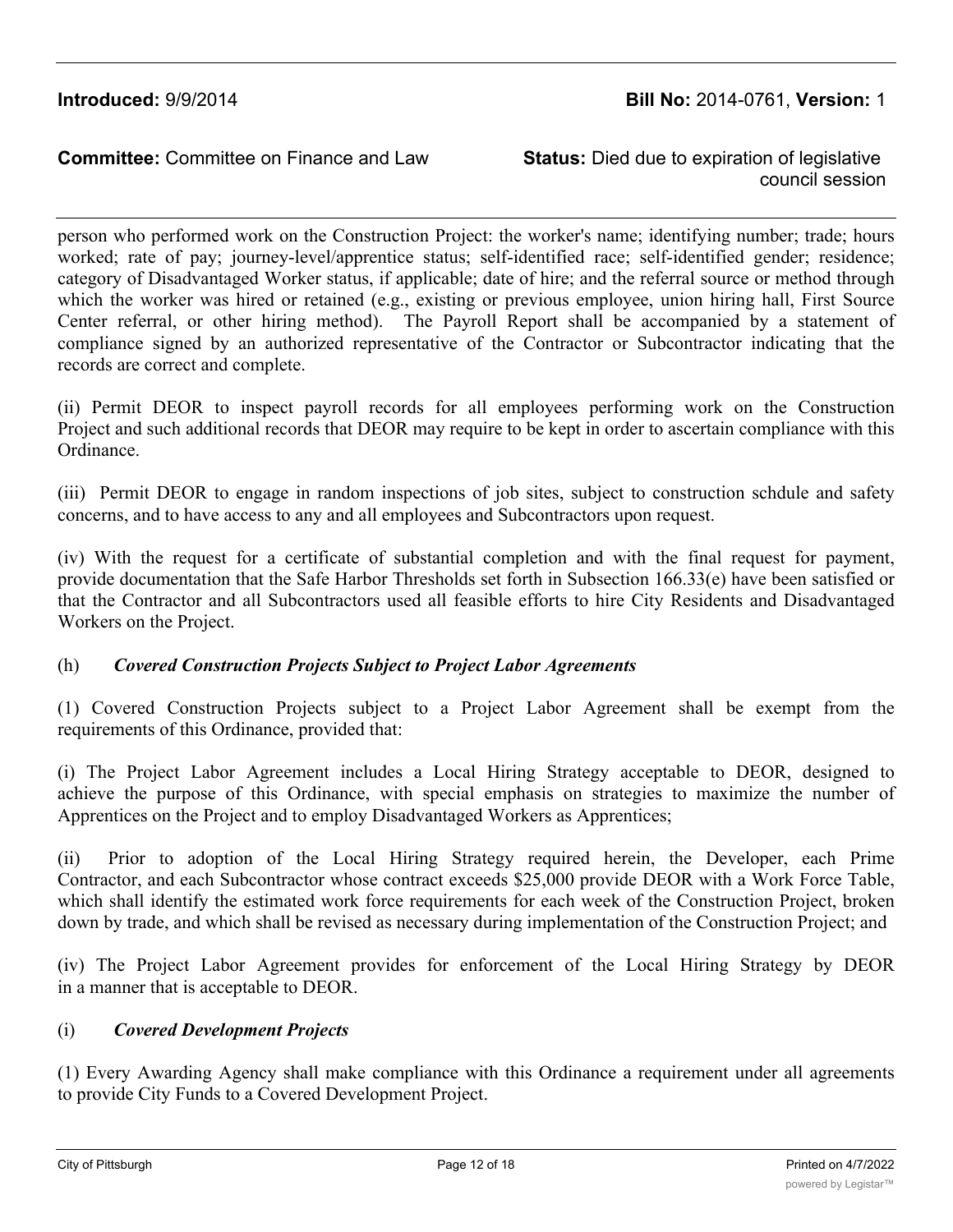council session

person who performed work on the Construction Project: the worker's name; identifying number; trade; hours worked; rate of pay; journey-level/apprentice status; self-identified race; self-identified gender; residence; category of Disadvantaged Worker status, if applicable; date of hire; and the referral source or method through which the worker was hired or retained (e.g., existing or previous employee, union hiring hall, First Source Center referral, or other hiring method). The Payroll Report shall be accompanied by a statement of compliance signed by an authorized representative of the Contractor or Subcontractor indicating that the records are correct and complete.

(ii) Permit DEOR to inspect payroll records for all employees performing work on the Construction Project and such additional records that DEOR may require to be kept in order to ascertain compliance with this Ordinance.

(iii) Permit DEOR to engage in random inspections of job sites, subject to construction schdule and safety concerns, and to have access to any and all employees and Subcontractors upon request.

(iv) With the request for a certificate of substantial completion and with the final request for payment, provide documentation that the Safe Harbor Thresholds set forth in Subsection 166.33(e) have been satisfied or that the Contractor and all Subcontractors used all feasible efforts to hire City Residents and Disadvantaged Workers on the Project.

### (h) *Covered Construction Projects Subject to Project Labor Agreements*

(1) Covered Construction Projects subject to a Project Labor Agreement shall be exempt from the requirements of this Ordinance, provided that:

(i) The Project Labor Agreement includes a Local Hiring Strategy acceptable to DEOR, designed to achieve the purpose of this Ordinance, with special emphasis on strategies to maximize the number of Apprentices on the Project and to employ Disadvantaged Workers as Apprentices;

(ii) Prior to adoption of the Local Hiring Strategy required herein, the Developer, each Prime Contractor, and each Subcontractor whose contract exceeds \$25,000 provide DEOR with a Work Force Table, which shall identify the estimated work force requirements for each week of the Construction Project, broken down by trade, and which shall be revised as necessary during implementation of the Construction Project; and

(iv) The Project Labor Agreement provides for enforcement of the Local Hiring Strategy by DEOR in a manner that is acceptable to DEOR.

### (i) *Covered Development Projects*

(1) Every Awarding Agency shall make compliance with this Ordinance a requirement under all agreements to provide City Funds to a Covered Development Project.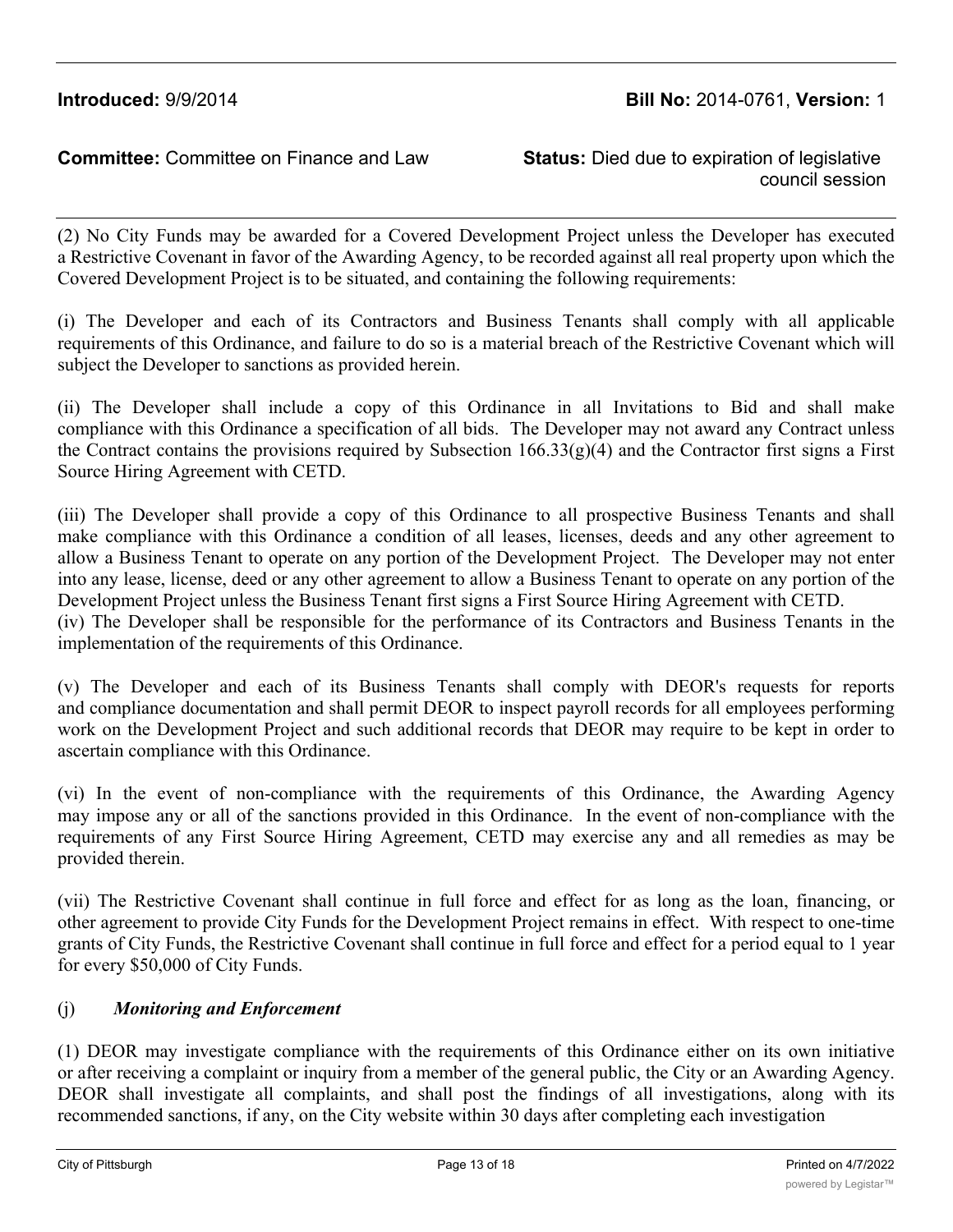council session

(2) No City Funds may be awarded for a Covered Development Project unless the Developer has executed a Restrictive Covenant in favor of the Awarding Agency, to be recorded against all real property upon which the Covered Development Project is to be situated, and containing the following requirements:

(i) The Developer and each of its Contractors and Business Tenants shall comply with all applicable requirements of this Ordinance, and failure to do so is a material breach of the Restrictive Covenant which will subject the Developer to sanctions as provided herein.

(ii) The Developer shall include a copy of this Ordinance in all Invitations to Bid and shall make compliance with this Ordinance a specification of all bids. The Developer may not award any Contract unless the Contract contains the provisions required by Subsection 166.33(g)(4) and the Contractor first signs a First Source Hiring Agreement with CETD.

(iii) The Developer shall provide a copy of this Ordinance to all prospective Business Tenants and shall make compliance with this Ordinance a condition of all leases, licenses, deeds and any other agreement to allow a Business Tenant to operate on any portion of the Development Project. The Developer may not enter into any lease, license, deed or any other agreement to allow a Business Tenant to operate on any portion of the Development Project unless the Business Tenant first signs a First Source Hiring Agreement with CETD. (iv) The Developer shall be responsible for the performance of its Contractors and Business Tenants in the implementation of the requirements of this Ordinance.

(v) The Developer and each of its Business Tenants shall comply with DEOR's requests for reports and compliance documentation and shall permit DEOR to inspect payroll records for all employees performing work on the Development Project and such additional records that DEOR may require to be kept in order to ascertain compliance with this Ordinance.

(vi) In the event of non-compliance with the requirements of this Ordinance, the Awarding Agency may impose any or all of the sanctions provided in this Ordinance. In the event of non-compliance with the requirements of any First Source Hiring Agreement, CETD may exercise any and all remedies as may be provided therein.

(vii) The Restrictive Covenant shall continue in full force and effect for as long as the loan, financing, or other agreement to provide City Funds for the Development Project remains in effect. With respect to one-time grants of City Funds, the Restrictive Covenant shall continue in full force and effect for a period equal to 1 year for every \$50,000 of City Funds.

# (j) *Monitoring and Enforcement*

(1) DEOR may investigate compliance with the requirements of this Ordinance either on its own initiative or after receiving a complaint or inquiry from a member of the general public, the City or an Awarding Agency. DEOR shall investigate all complaints, and shall post the findings of all investigations, along with its recommended sanctions, if any, on the City website within 30 days after completing each investigation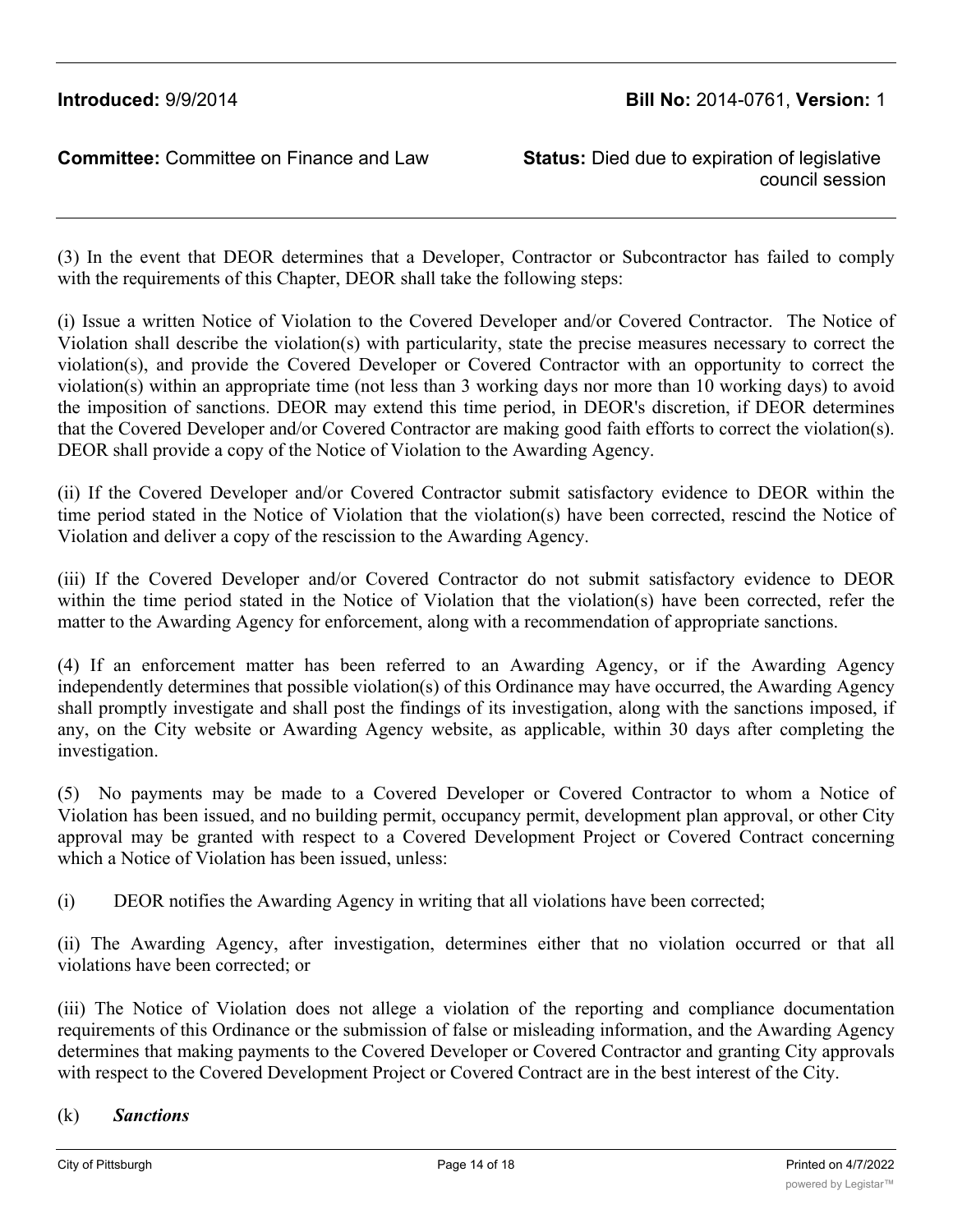council session

(3) In the event that DEOR determines that a Developer, Contractor or Subcontractor has failed to comply with the requirements of this Chapter, DEOR shall take the following steps:

(i) Issue a written Notice of Violation to the Covered Developer and/or Covered Contractor. The Notice of Violation shall describe the violation(s) with particularity, state the precise measures necessary to correct the violation(s), and provide the Covered Developer or Covered Contractor with an opportunity to correct the violation(s) within an appropriate time (not less than 3 working days nor more than 10 working days) to avoid the imposition of sanctions. DEOR may extend this time period, in DEOR's discretion, if DEOR determines that the Covered Developer and/or Covered Contractor are making good faith efforts to correct the violation(s). DEOR shall provide a copy of the Notice of Violation to the Awarding Agency.

(ii) If the Covered Developer and/or Covered Contractor submit satisfactory evidence to DEOR within the time period stated in the Notice of Violation that the violation(s) have been corrected, rescind the Notice of Violation and deliver a copy of the rescission to the Awarding Agency.

(iii) If the Covered Developer and/or Covered Contractor do not submit satisfactory evidence to DEOR within the time period stated in the Notice of Violation that the violation(s) have been corrected, refer the matter to the Awarding Agency for enforcement, along with a recommendation of appropriate sanctions.

(4) If an enforcement matter has been referred to an Awarding Agency, or if the Awarding Agency independently determines that possible violation(s) of this Ordinance may have occurred, the Awarding Agency shall promptly investigate and shall post the findings of its investigation, along with the sanctions imposed, if any, on the City website or Awarding Agency website, as applicable, within 30 days after completing the investigation.

(5) No payments may be made to a Covered Developer or Covered Contractor to whom a Notice of Violation has been issued, and no building permit, occupancy permit, development plan approval, or other City approval may be granted with respect to a Covered Development Project or Covered Contract concerning which a Notice of Violation has been issued, unless:

(i) DEOR notifies the Awarding Agency in writing that all violations have been corrected;

(ii) The Awarding Agency, after investigation, determines either that no violation occurred or that all violations have been corrected; or

(iii) The Notice of Violation does not allege a violation of the reporting and compliance documentation requirements of this Ordinance or the submission of false or misleading information, and the Awarding Agency determines that making payments to the Covered Developer or Covered Contractor and granting City approvals with respect to the Covered Development Project or Covered Contract are in the best interest of the City.

#### (k) *Sanctions*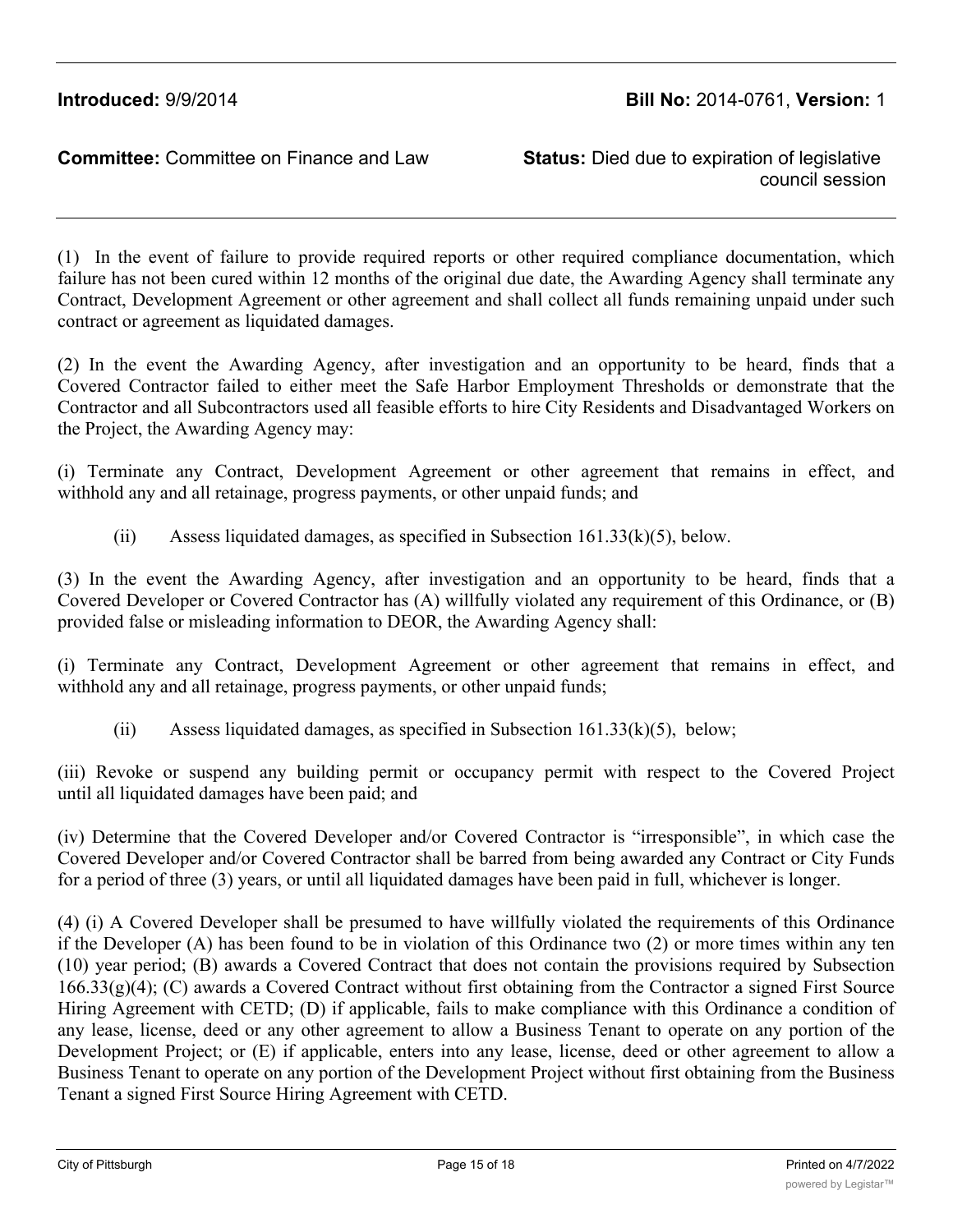council session

(1) In the event of failure to provide required reports or other required compliance documentation, which failure has not been cured within 12 months of the original due date, the Awarding Agency shall terminate any Contract, Development Agreement or other agreement and shall collect all funds remaining unpaid under such contract or agreement as liquidated damages.

(2) In the event the Awarding Agency, after investigation and an opportunity to be heard, finds that a Covered Contractor failed to either meet the Safe Harbor Employment Thresholds or demonstrate that the Contractor and all Subcontractors used all feasible efforts to hire City Residents and Disadvantaged Workers on the Project, the Awarding Agency may:

(i) Terminate any Contract, Development Agreement or other agreement that remains in effect, and withhold any and all retainage, progress payments, or other unpaid funds; and

(ii) Assess liquidated damages, as specified in Subsection 161.33(k)(5), below.

(3) In the event the Awarding Agency, after investigation and an opportunity to be heard, finds that a Covered Developer or Covered Contractor has (A) willfully violated any requirement of this Ordinance, or (B) provided false or misleading information to DEOR, the Awarding Agency shall:

(i) Terminate any Contract, Development Agreement or other agreement that remains in effect, and withhold any and all retainage, progress payments, or other unpaid funds;

(ii) Assess liquidated damages, as specified in Subsection  $161.33(k)(5)$ , below;

(iii) Revoke or suspend any building permit or occupancy permit with respect to the Covered Project until all liquidated damages have been paid; and

(iv) Determine that the Covered Developer and/or Covered Contractor is "irresponsible", in which case the Covered Developer and/or Covered Contractor shall be barred from being awarded any Contract or City Funds for a period of three (3) years, or until all liquidated damages have been paid in full, whichever is longer.

(4) (i) A Covered Developer shall be presumed to have willfully violated the requirements of this Ordinance if the Developer (A) has been found to be in violation of this Ordinance two (2) or more times within any ten (10) year period; (B) awards a Covered Contract that does not contain the provisions required by Subsection 166.33(g)(4); (C) awards a Covered Contract without first obtaining from the Contractor a signed First Source Hiring Agreement with CETD; (D) if applicable, fails to make compliance with this Ordinance a condition of any lease, license, deed or any other agreement to allow a Business Tenant to operate on any portion of the Development Project; or (E) if applicable, enters into any lease, license, deed or other agreement to allow a Business Tenant to operate on any portion of the Development Project without first obtaining from the Business Tenant a signed First Source Hiring Agreement with CETD.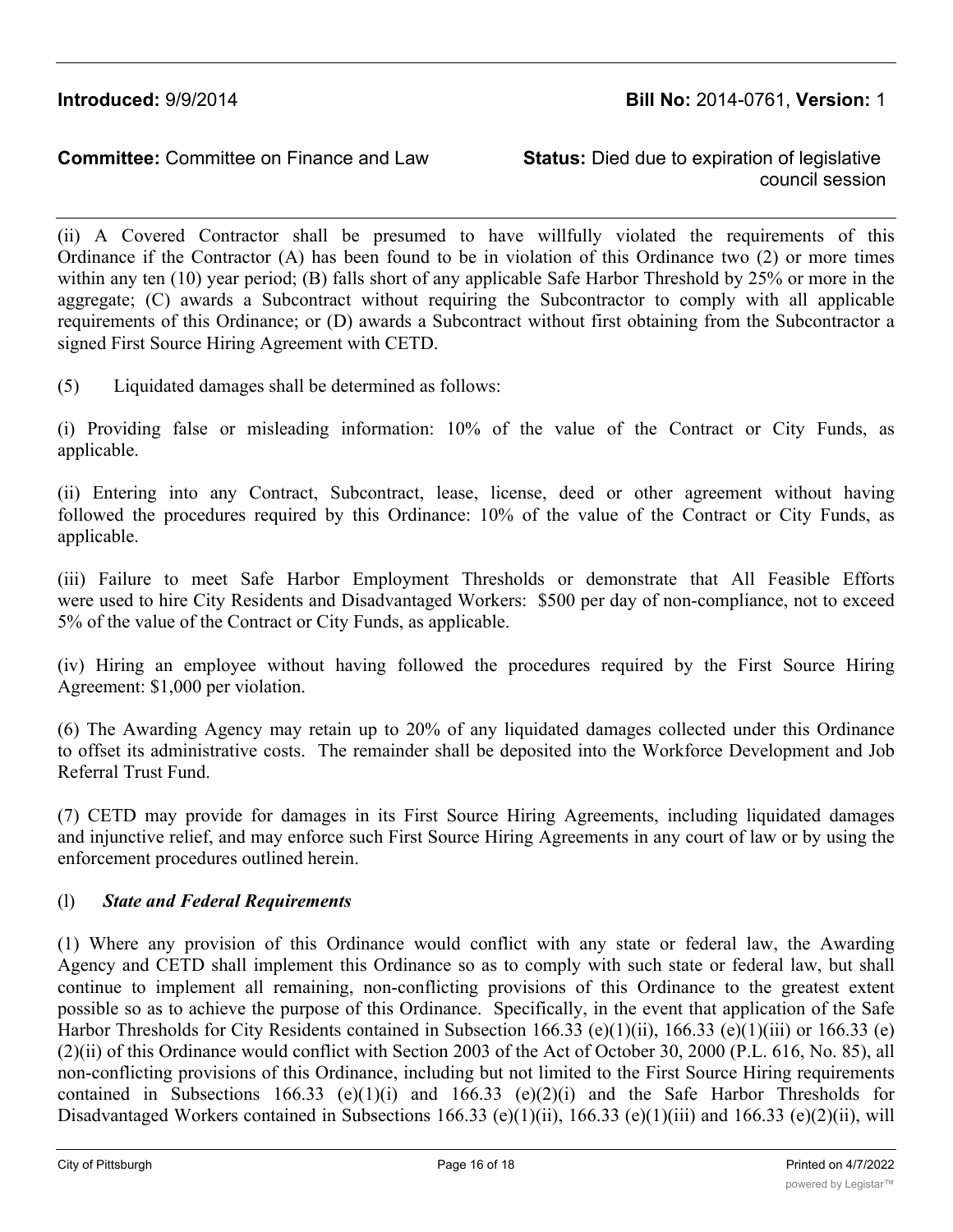# **Introduced:** 9/9/2014 **Bill No:** 2014-0761, **Version:** 1

## **Committee:** Committee on Finance and Law **Status:** Died due to expiration of legislative

council session

(ii) A Covered Contractor shall be presumed to have willfully violated the requirements of this Ordinance if the Contractor (A) has been found to be in violation of this Ordinance two (2) or more times within any ten (10) year period; (B) falls short of any applicable Safe Harbor Threshold by 25% or more in the aggregate; (C) awards a Subcontract without requiring the Subcontractor to comply with all applicable requirements of this Ordinance; or (D) awards a Subcontract without first obtaining from the Subcontractor a signed First Source Hiring Agreement with CETD.

(5) Liquidated damages shall be determined as follows:

(i) Providing false or misleading information: 10% of the value of the Contract or City Funds, as applicable.

(ii) Entering into any Contract, Subcontract, lease, license, deed or other agreement without having followed the procedures required by this Ordinance: 10% of the value of the Contract or City Funds, as applicable.

(iii) Failure to meet Safe Harbor Employment Thresholds or demonstrate that All Feasible Efforts were used to hire City Residents and Disadvantaged Workers: \$500 per day of non-compliance, not to exceed 5% of the value of the Contract or City Funds, as applicable.

(iv) Hiring an employee without having followed the procedures required by the First Source Hiring Agreement: \$1,000 per violation.

(6) The Awarding Agency may retain up to 20% of any liquidated damages collected under this Ordinance to offset its administrative costs. The remainder shall be deposited into the Workforce Development and Job Referral Trust Fund.

(7) CETD may provide for damages in its First Source Hiring Agreements, including liquidated damages and injunctive relief, and may enforce such First Source Hiring Agreements in any court of law or by using the enforcement procedures outlined herein.

### (l) *State and Federal Requirements*

(1) Where any provision of this Ordinance would conflict with any state or federal law, the Awarding Agency and CETD shall implement this Ordinance so as to comply with such state or federal law, but shall continue to implement all remaining, non-conflicting provisions of this Ordinance to the greatest extent possible so as to achieve the purpose of this Ordinance. Specifically, in the event that application of the Safe Harbor Thresholds for City Residents contained in Subsection 166.33 (e)(1)(ii), 166.33 (e)(1)(iii) or 166.33 (e) (2)(ii) of this Ordinance would conflict with Section 2003 of the Act of October 30, 2000 (P.L. 616, No. 85), all non-conflicting provisions of this Ordinance, including but not limited to the First Source Hiring requirements contained in Subsections 166.33 (e)(1)(i) and 166.33 (e)(2)(i) and the Safe Harbor Thresholds for Disadvantaged Workers contained in Subsections 166.33 (e)(1)(ii), 166.33 (e)(1)(iii) and 166.33 (e)(2)(ii), will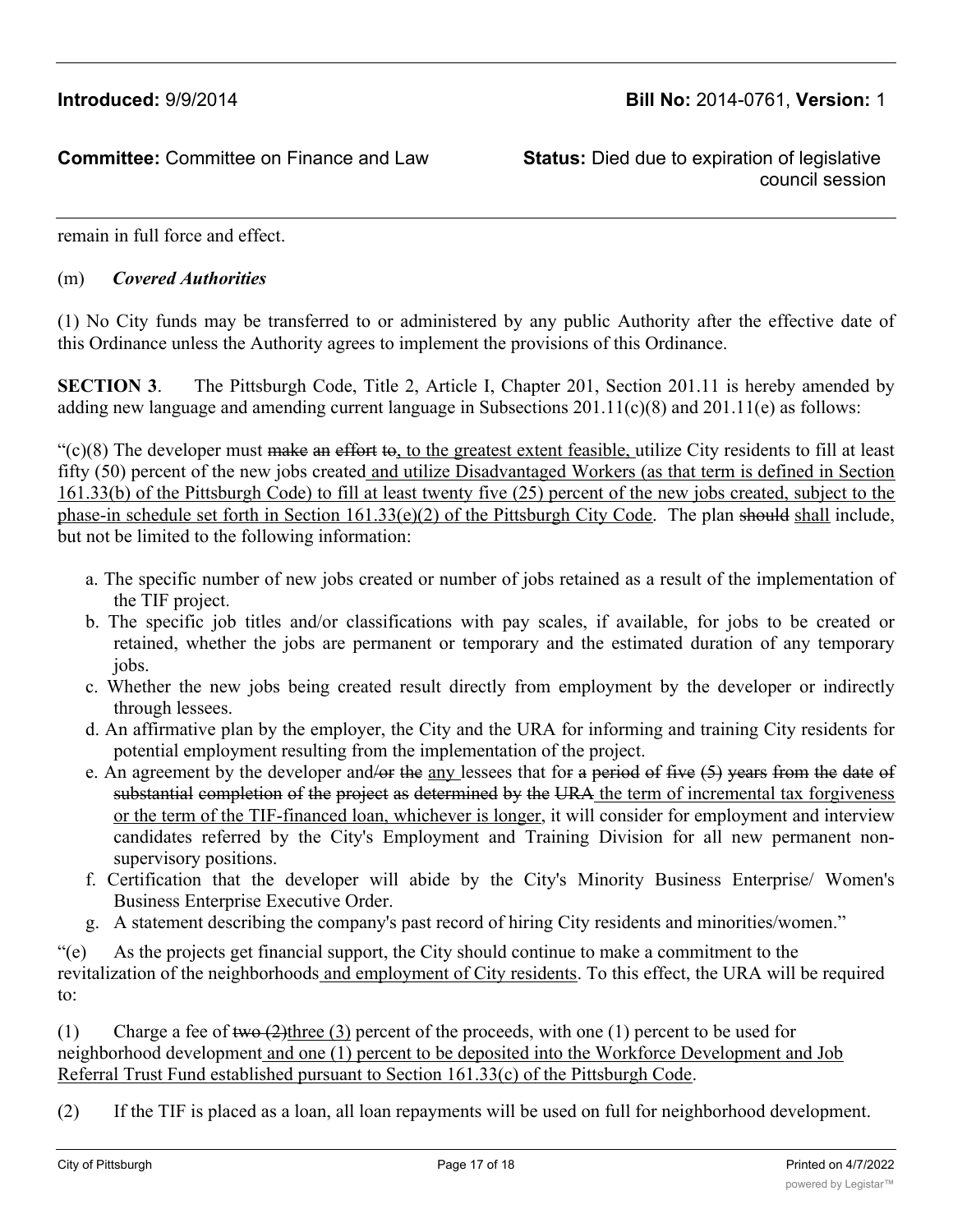council session

remain in full force and effect.

#### (m) *Covered Authorities*

(1) No City funds may be transferred to or administered by any public Authority after the effective date of this Ordinance unless the Authority agrees to implement the provisions of this Ordinance.

**SECTION 3**. The Pittsburgh Code, Title 2, Article I, Chapter 201, Section 201.11 is hereby amended by adding new language and amending current language in Subsections 201.11(c)(8) and 201.11(e) as follows:

 $\degree$ (c)(8) The developer must make an effort to, to the greatest extent feasible, utilize City residents to fill at least fifty (50) percent of the new jobs created and utilize Disadvantaged Workers (as that term is defined in Section 161.33(b) of the Pittsburgh Code) to fill at least twenty five (25) percent of the new jobs created, subject to the phase-in schedule set forth in Section 161.33(e)(2) of the Pittsburgh City Code. The plan should shall include, but not be limited to the following information:

- a. The specific number of new jobs created or number of jobs retained as a result of the implementation of the TIF project.
- b. The specific job titles and/or classifications with pay scales, if available, for jobs to be created or retained, whether the jobs are permanent or temporary and the estimated duration of any temporary jobs.
- c. Whether the new jobs being created result directly from employment by the developer or indirectly through lessees.
- d. An affirmative plan by the employer, the City and the URA for informing and training City residents for potential employment resulting from the implementation of the project.
- e. An agreement by the developer and/or the any lessees that for a period of five  $(5)$  years from the date of substantial completion of the project as determined by the URA the term of incremental tax forgiveness or the term of the TIF-financed loan, whichever is longer, it will consider for employment and interview candidates referred by the City's Employment and Training Division for all new permanent nonsupervisory positions.
- f. Certification that the developer will abide by the City's Minority Business Enterprise/ Women's Business Enterprise Executive Order.
- g. A statement describing the company's past record of hiring City residents and minorities/women."

"(e) As the projects get financial support, the City should continue to make a commitment to the revitalization of the neighborhoods and employment of City residents. To this effect, the URA will be required to:

(1) Charge a fee of two  $(2)$ three  $(3)$  percent of the proceeds, with one (1) percent to be used for neighborhood development and one (1) percent to be deposited into the Workforce Development and Job Referral Trust Fund established pursuant to Section 161.33(c) of the Pittsburgh Code.

(2) If the TIF is placed as a loan, all loan repayments will be used on full for neighborhood development.